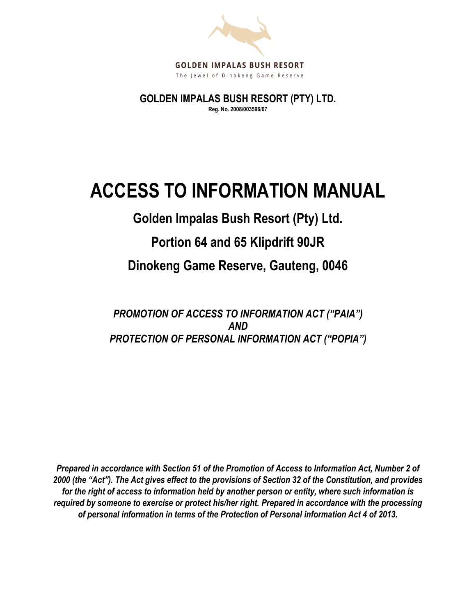

**GOLDEN IMPALAS BUSH RESORT (PTY) LTD. Reg. No. 2008/003596/07**

# **ACCESS TO INFORMATION MANUAL**

## **Golden Impalas Bush Resort (Pty) Ltd.**

### **Portion 64 and 65 Klipdrift 90JR**

### **Dinokeng Game Reserve, Gauteng, 0046**

*PROMOTION OF ACCESS TO INFORMATION ACT ("PAIA") AND PROTECTION OF PERSONAL INFORMATION ACT ("POPIA")*

*Prepared in accordance with Section 51 of the Promotion of Access to Information Act, Number 2 of 2000 (the "Act"). The Act gives effect to the provisions of Section 32 of the Constitution, and provides for the right of access to information held by another person or entity, where such information is required by someone to exercise or protect his/her right. Prepared in accordance with the processing of personal information in terms of the Protection of Personal information Act 4 of 2013.*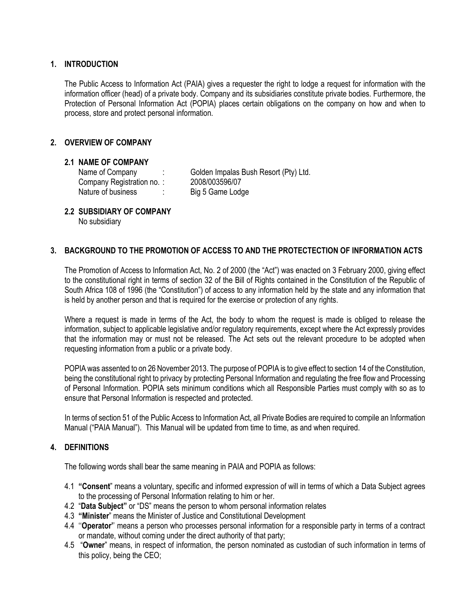#### **1. INTRODUCTION**

The Public Access to Information Act (PAIA) gives a requester the right to lodge a request for information with the information officer (head) of a private body. Company and its subsidiaries constitute private bodies. Furthermore, the Protection of Personal Information Act (POPIA) places certain obligations on the company on how and when to process, store and protect personal information.

#### **2. OVERVIEW OF COMPANY**

#### **2.1 NAME OF COMPANY**

Company Registration no. : 2008/003596/07 Nature of business : Big 5 Game Lodge

Name of Company : Golden Impalas Bush Resort (Pty) Ltd.

#### **2.2 SUBSIDIARY OF COMPANY**

No subsidiary

#### **3. BACKGROUND TO THE PROMOTION OF ACCESS TO AND THE PROTECTECTION OF INFORMATION ACTS**

The Promotion of Access to Information Act, No. 2 of 2000 (the "Act") was enacted on 3 February 2000, giving effect to the constitutional right in terms of section 32 of the Bill of Rights contained in the Constitution of the Republic of South Africa 108 of 1996 (the "Constitution") of access to any information held by the state and any information that is held by another person and that is required for the exercise or protection of any rights.

Where a request is made in terms of the Act, the body to whom the request is made is obliged to release the information, subject to applicable legislative and/or regulatory requirements, except where the Act expressly provides that the information may or must not be released. The Act sets out the relevant procedure to be adopted when requesting information from a public or a private body.

POPIA was assented to on 26 November 2013. The purpose of POPIA is to give effect to section 14 of the Constitution, being the constitutional right to privacy by protecting Personal Information and regulating the free flow and Processing of Personal Information. POPIA sets minimum conditions which all Responsible Parties must comply with so as to ensure that Personal Information is respected and protected.

In terms of section 51 of the Public Access to Information Act, all Private Bodies are required to compile an Information Manual ("PAIA Manual"). This Manual will be updated from time to time, as and when required.

#### **4. DEFINITIONS**

The following words shall bear the same meaning in PAIA and POPIA as follows:

- 4.1 **"Consent**" means a voluntary, specific and informed expression of will in terms of which a Data Subject agrees to the processing of Personal Information relating to him or her.
- 4.2 "**Data Subject"** or "DS" means the person to whom personal information relates
- 4.3 **"Minister**" means the Minister of Justice and Constitutional Development
- 4.4 ''**Operator'**' means a person who processes personal information for a responsible party in terms of a contract or mandate, without coming under the direct authority of that party;
- 4.5 "**Owner**" means, in respect of information, the person nominated as custodian of such information in terms of this policy, being the CEO;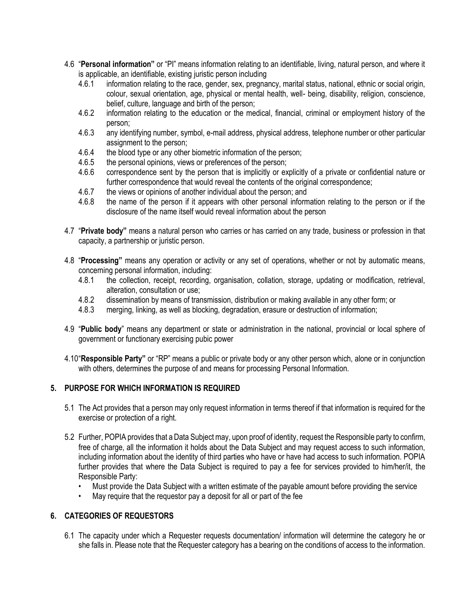- 4.6 "**Personal information"** or "PI" means information relating to an identifiable, living, natural person, and where it is applicable, an identifiable, existing juristic person including
	- 4.6.1 information relating to the race, gender, sex, pregnancy, marital status, national, ethnic or social origin, colour, sexual orientation, age, physical or mental health, well- being, disability, religion, conscience, belief, culture, language and birth of the person;
	- 4.6.2 information relating to the education or the medical, financial, criminal or employment history of the person;
	- 4.6.3 any identifying number, symbol, e-mail address, physical address, telephone number or other particular assignment to the person;
	- 4.6.4 the blood type or any other biometric information of the person;
	- 4.6.5 the personal opinions, views or preferences of the person;
	- 4.6.6 correspondence sent by the person that is implicitly or explicitly of a private or confidential nature or further correspondence that would reveal the contents of the original correspondence;
	- 4.6.7 the views or opinions of another individual about the person; and
	- 4.6.8 the name of the person if it appears with other personal information relating to the person or if the disclosure of the name itself would reveal information about the person
- 4.7 "**Private body"** means a natural person who carries or has carried on any trade, business or profession in that capacity, a partnership or juristic person.
- 4.8 "**Processing"** means any operation or activity or any set of operations, whether or not by automatic means, concerning personal information, including:
	- 4.8.1 the collection, receipt, recording, organisation, collation, storage, updating or modification, retrieval, alteration, consultation or use;
	- 4.8.2 dissemination by means of transmission, distribution or making available in any other form; or
	- 4.8.3 merging, linking, as well as blocking, degradation, erasure or destruction of information;
- 4.9 "**Public body**" means any department or state or administration in the national, provincial or local sphere of government or functionary exercising pubic power
- 4.10"**Responsible Party"** or "RP" means a public or private body or any other person which, alone or in conjunction with others, determines the purpose of and means for processing Personal Information.

#### **5. PURPOSE FOR WHICH INFORMATION IS REQUIRED**

- 5.1 The Act provides that a person may only request information in terms thereof if that information is required for the exercise or protection of a right.
- 5.2 Further, POPIA provides that a Data Subject may, upon proof of identity, request the Responsible party to confirm, free of charge, all the information it holds about the Data Subject and may request access to such information, including information about the identity of third parties who have or have had access to such information. POPIA further provides that where the Data Subject is required to pay a fee for services provided to him/her/it, the Responsible Party:
	- Must provide the Data Subject with a written estimate of the payable amount before providing the service
	- May require that the requestor pay a deposit for all or part of the fee

#### **6. CATEGORIES OF REQUESTORS**

6.1 The capacity under which a Requester requests documentation/ information will determine the category he or she falls in. Please note that the Requester category has a bearing on the conditions of access to the information.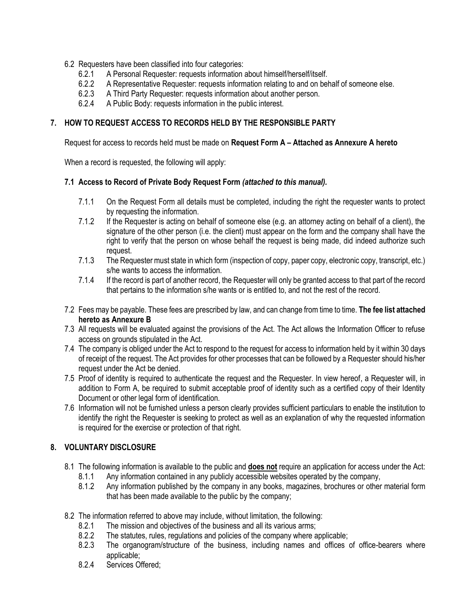- 6.2 Requesters have been classified into four categories:
	- 6.2.1 A Personal Requester: requests information about himself/herself/itself.
	- 6.2.2 A Representative Requester: requests information relating to and on behalf of someone else.
	- 6.2.3 A Third Party Requester: requests information about another person.
	- 6.2.4 A Public Body: requests information in the public interest.

#### **7. HOW TO REQUEST ACCESS TO RECORDS HELD BY THE RESPONSIBLE PARTY**

Request for access to records held must be made on **Request Form A – Attached as Annexure A hereto**

When a record is requested, the following will apply:

#### **7.1 Access to Record of Private Body Request Form** *(attached to this manual).*

- 7.1.1 On the Request Form all details must be completed, including the right the requester wants to protect by requesting the information.
- 7.1.2 If the Requester is acting on behalf of someone else (e.g. an attorney acting on behalf of a client), the signature of the other person (i.e. the client) must appear on the form and the company shall have the right to verify that the person on whose behalf the request is being made, did indeed authorize such request.
- 7.1.3 The Requester must state in which form (inspection of copy, paper copy, electronic copy, transcript, etc.) s/he wants to access the information.
- 7.1.4 If the record is part of another record, the Requester will only be granted access to that part of the record that pertains to the information s/he wants or is entitled to, and not the rest of the record.
- 7.2 Fees may be payable. These fees are prescribed by law, and can change from time to time. **The fee list attached hereto as Annexure B**
- 7.3 All requests will be evaluated against the provisions of the Act. The Act allows the Information Officer to refuse access on grounds stipulated in the Act.
- 7.4 The company is obliged under the Act to respond to the request for access to information held by it within 30 days of receipt of the request. The Act provides for other processes that can be followed by a Requester should his/her request under the Act be denied.
- 7.5 Proof of identity is required to authenticate the request and the Requester. In view hereof, a Requester will, in addition to Form A, be required to submit acceptable proof of identity such as a certified copy of their Identity Document or other legal form of identification.
- 7.6 Information will not be furnished unless a person clearly provides sufficient particulars to enable the institution to identify the right the Requester is seeking to protect as well as an explanation of why the requested information is required for the exercise or protection of that right.

#### **8. VOLUNTARY DISCLOSURE**

- 8.1 The following information is available to the public and **does not** require an application for access under the Act:
	- 8.1.1 Any information contained in any publicly accessible websites operated by the company,
	- 8.1.2 Any information published by the company in any books, magazines, brochures or other material form that has been made available to the public by the company;
- 8.2 The information referred to above may include, without limitation, the following:
	- 8.2.1 The mission and objectives of the business and all its various arms;
	- 8.2.2 The statutes, rules, regulations and policies of the company where applicable;
	- 8.2.3 The organogram/structure of the business, including names and offices of office-bearers where applicable;
	- 8.2.4 Services Offered;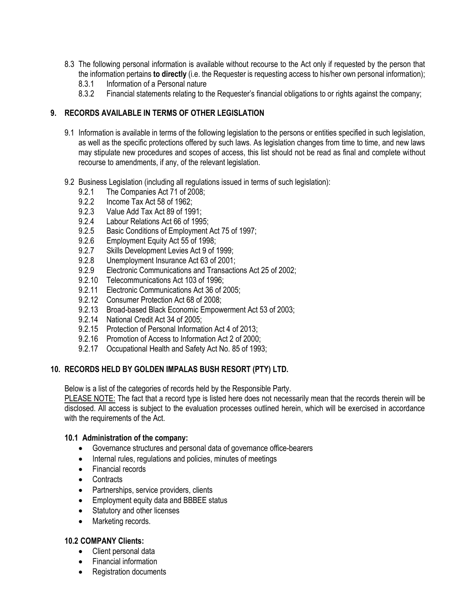- 8.3 The following personal information is available without recourse to the Act only if requested by the person that the information pertains **to directly** (i.e. the Requester is requesting access to his/her own personal information);
	- 8.3.1 Information of a Personal nature
	- 8.3.2 Financial statements relating to the Requester's financial obligations to or rights against the company;

#### **9. RECORDS AVAILABLE IN TERMS OF OTHER LEGISLATION**

- 9.1 Information is available in terms of the following legislation to the persons or entities specified in such legislation, as well as the specific protections offered by such laws. As legislation changes from time to time, and new laws may stipulate new procedures and scopes of access, this list should not be read as final and complete without recourse to amendments, if any, of the relevant legislation.
- 9.2 Business Legislation (including all regulations issued in terms of such legislation):
	- 9.2.1 The Companies Act 71 of 2008;
	- 9.2.2 Income Tax Act 58 of 1962;<br>9.2.3 Value Add Tax Act 89 of 199
	- Value Add Tax Act 89 of 1991:
	- 9.2.4 Labour Relations Act 66 of 1995;
	- 9.2.5 Basic Conditions of Employment Act 75 of 1997;
	- 9.2.6 Employment Equity Act 55 of 1998;
	- 9.2.7 Skills Development Levies Act 9 of 1999;
	- 9.2.8 Unemployment Insurance Act 63 of 2001;
	- 9.2.9 Electronic Communications and Transactions Act 25 of 2002;
	- 9.2.10 Telecommunications Act 103 of 1996;
	- 9.2.11 Electronic Communications Act 36 of 2005;
	- 9.2.12 Consumer Protection Act 68 of 2008;
	- 9.2.13 Broad-based Black Economic Empowerment Act 53 of 2003;
	- 9.2.14 National Credit Act 34 of 2005;
	- 9.2.15 Protection of Personal Information Act 4 of 2013;
	- 9.2.16 Promotion of Access to Information Act 2 of 2000;
	- 9.2.17 Occupational Health and Safety Act No. 85 of 1993;

#### **10. RECORDS HELD BY GOLDEN IMPALAS BUSH RESORT (PTY) LTD.**

Below is a list of the categories of records held by the Responsible Party.

PLEASE NOTE: The fact that a record type is listed here does not necessarily mean that the records therein will be disclosed. All access is subject to the evaluation processes outlined herein, which will be exercised in accordance with the requirements of the Act.

#### **10.1 Administration of the company:**

- Governance structures and personal data of governance office-bearers
- Internal rules, regulations and policies, minutes of meetings
- Financial records
- Contracts
- Partnerships, service providers, clients
- Employment equity data and BBBEE status
- Statutory and other licenses
- Marketing records.

#### **10.2 COMPANY Clients:**

- Client personal data
- Financial information
- Registration documents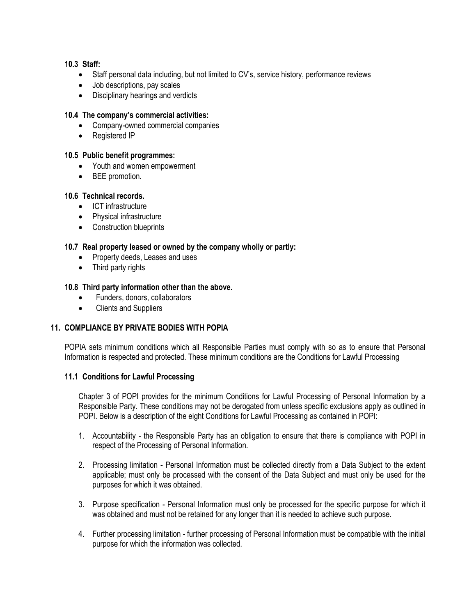#### **10.3 Staff:**

- Staff personal data including, but not limited to CV's, service history, performance reviews
- Job descriptions, pay scales
- Disciplinary hearings and verdicts

#### **10.4 The company's commercial activities:**

- Company-owned commercial companies
- Registered IP
- **10.5 Public benefit programmes:** 
	- Youth and women empowerment
	- BEE promotion.

#### **10.6 Technical records.**

- ICT infrastructure
- Physical infrastructure
- Construction blueprints

#### **10.7 Real property leased or owned by the company wholly or partly:**

- Property deeds, Leases and uses
- Third party rights

#### **10.8 Third party information other than the above.**

- Funders, donors, collaborators
- Clients and Suppliers

#### **11. COMPLIANCE BY PRIVATE BODIES WITH POPIA**

POPIA sets minimum conditions which all Responsible Parties must comply with so as to ensure that Personal Information is respected and protected. These minimum conditions are the Conditions for Lawful Processing

#### **11.1 Conditions for Lawful Processing**

Chapter 3 of POPI provides for the minimum Conditions for Lawful Processing of Personal Information by a Responsible Party. These conditions may not be derogated from unless specific exclusions apply as outlined in POPI. Below is a description of the eight Conditions for Lawful Processing as contained in POPI:

- 1. Accountability the Responsible Party has an obligation to ensure that there is compliance with POPI in respect of the Processing of Personal Information.
- 2. Processing limitation Personal Information must be collected directly from a Data Subject to the extent applicable; must only be processed with the consent of the Data Subject and must only be used for the purposes for which it was obtained.
- 3. Purpose specification Personal Information must only be processed for the specific purpose for which it was obtained and must not be retained for any longer than it is needed to achieve such purpose.
- 4. Further processing limitation further processing of Personal Information must be compatible with the initial purpose for which the information was collected.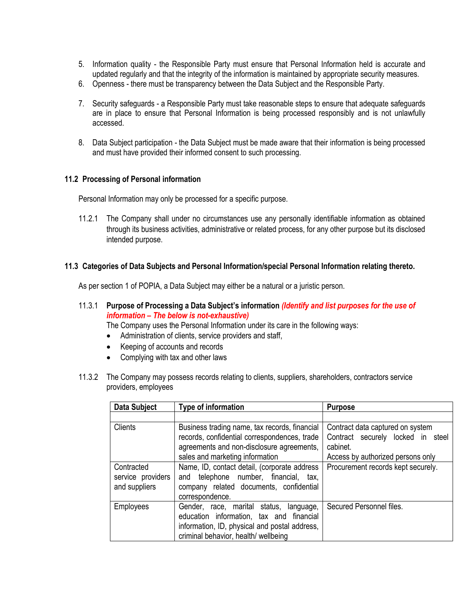- 5. Information quality the Responsible Party must ensure that Personal Information held is accurate and updated regularly and that the integrity of the information is maintained by appropriate security measures.
- 6. Openness there must be transparency between the Data Subject and the Responsible Party.
- 7. Security safeguards a Responsible Party must take reasonable steps to ensure that adequate safeguards are in place to ensure that Personal Information is being processed responsibly and is not unlawfully accessed.
- 8. Data Subject participation the Data Subject must be made aware that their information is being processed and must have provided their informed consent to such processing.

#### **11.2 Processing of Personal information**

Personal Information may only be processed for a specific purpose.

11.2.1 The Company shall under no circumstances use any personally identifiable information as obtained through its business activities, administrative or related process, for any other purpose but its disclosed intended purpose.

#### **11.3 Categories of Data Subjects and Personal Information/special Personal Information relating thereto.**

As per section 1 of POPIA, a Data Subject may either be a natural or a juristic person.

11.3.1 **Purpose of Processing a Data Subject's information** *(Identify and list purposes for the use of information – The below is not-exhaustive)*

The Company uses the Personal Information under its care in the following ways:

- Administration of clients, service providers and staff,
- Keeping of accounts and records
- Complying with tax and other laws
- 11.3.2 The Company may possess records relating to clients, suppliers, shareholders, contractors service providers, employees

| Data Subject                                     | Type of information                                                                                                                                                           | <b>Purpose</b>                                                                                                            |
|--------------------------------------------------|-------------------------------------------------------------------------------------------------------------------------------------------------------------------------------|---------------------------------------------------------------------------------------------------------------------------|
|                                                  |                                                                                                                                                                               |                                                                                                                           |
| <b>Clients</b>                                   | Business trading name, tax records, financial<br>records, confidential correspondences, trade<br>agreements and non-disclosure agreements,<br>sales and marketing information | Contract data captured on system<br>Contract securely locked in<br>steel<br>cabinet.<br>Access by authorized persons only |
| Contracted<br>service providers<br>and suppliers | Name, ID, contact detail, (corporate address<br>telephone number, financial, tax,<br>and<br>company related documents, confidential<br>correspondence.                        | Procurement records kept securely.                                                                                        |
| <b>Employees</b>                                 | Gender, race, marital status, language,<br>education information, tax and financial<br>information, ID, physical and postal address,<br>criminal behavior, health/ wellbeing  | Secured Personnel files.                                                                                                  |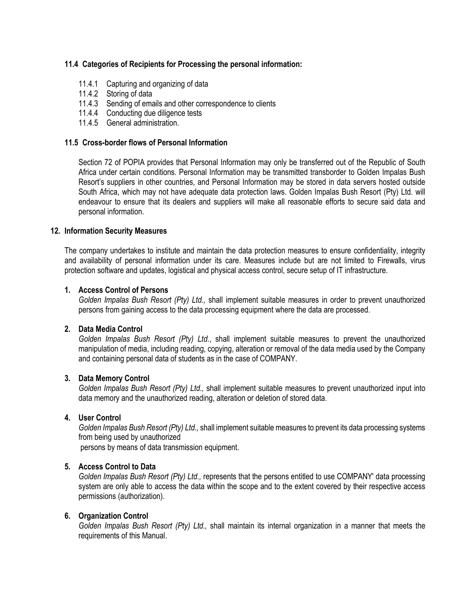#### **11.4 Categories of Recipients for Processing the personal information:**

- 11.4.1 Capturing and organizing of data
- 11.4.2 Storing of data
- 11.4.3 Sending of emails and other correspondence to clients
- 11.4.4 Conducting due diligence tests
- 11.4.5 General administration.

#### **11.5 Cross-border flows of Personal Information**

Section 72 of POPIA provides that Personal Information may only be transferred out of the Republic of South Africa under certain conditions. Personal Information may be transmitted transborder to Golden Impalas Bush Resort's suppliers in other countries, and Personal Information may be stored in data servers hosted outside South Africa, which may not have adequate data protection laws. Golden Impalas Bush Resort (Pty) Ltd. will endeavour to ensure that its dealers and suppliers will make all reasonable efforts to secure said data and personal information.

#### **12. Information Security Measures**

The company undertakes to institute and maintain the data protection measures to ensure confidentiality, integrity and availability of personal information under its care. Measures include but are not limited to Firewalls, virus protection software and updates, logistical and physical access control, secure setup of IT infrastructure.

#### **1. Access Control of Persons**

*Golden Impalas Bush Resort (Pty) Ltd.,* shall implement suitable measures in order to prevent unauthorized persons from gaining access to the data processing equipment where the data are processed.

#### **2. Data Media Control**

*Golden Impalas Bush Resort (Pty) Ltd.*, shall implement suitable measures to prevent the unauthorized manipulation of media, including reading, copying, alteration or removal of the data media used by the Company and containing personal data of students as in the case of COMPANY.

#### **3. Data Memory Control**

*Golden Impalas Bush Resort (Pty) Ltd.,* shall implement suitable measures to prevent unauthorized input into data memory and the unauthorized reading, alteration or deletion of stored data.

#### **4. User Control**

*Golden Impalas Bush Resort (Pty) Ltd.,* shall implement suitable measures to prevent its data processing systems from being used by unauthorized

persons by means of data transmission equipment.

#### **5. Access Control to Data**

*Golden Impalas Bush Resort (Pty) Ltd.,* represents that the persons entitled to use COMPANY' data processing system are only able to access the data within the scope and to the extent covered by their respective access permissions (authorization).

#### **6. Organization Control**

*Golden Impalas Bush Resort (Pty) Ltd.,* shall maintain its internal organization in a manner that meets the requirements of this Manual.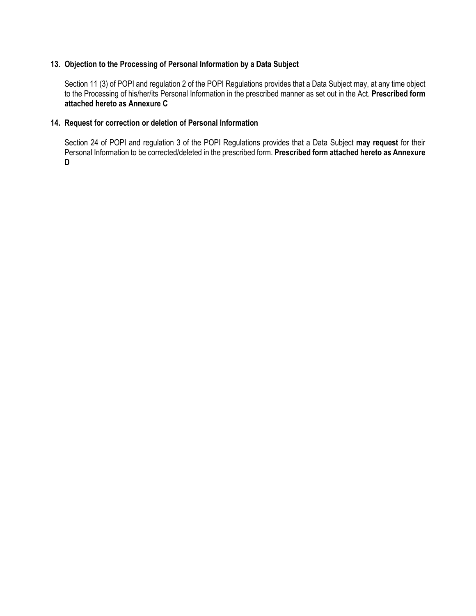#### **13. Objection to the Processing of Personal Information by a Data Subject**

Section 11 (3) of POPI and regulation 2 of the POPI Regulations provides that a Data Subject may, at any time object to the Processing of his/her/its Personal Information in the prescribed manner as set out in the Act. **Prescribed form attached hereto as Annexure C**

#### **14. Request for correction or deletion of Personal Information**

Section 24 of POPI and regulation 3 of the POPI Regulations provides that a Data Subject **may request** for their Personal Information to be corrected/deleted in the prescribed form. **Prescribed form attached hereto as Annexure D**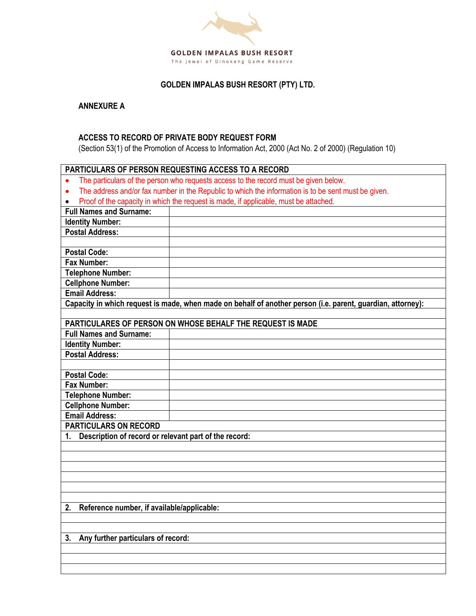

### **GOLDEN IMPALAS BUSH RESORT (PTY) LTD.**

**ANNEXURE A**

#### **ACCESS TO RECORD OF PRIVATE BODY REQUEST FORM**

(Section 53(1) of the Promotion of Access to Information Act, 2000 (Act No. 2 of 2000) (Regulation 10)

| PARTICULARS OF PERSON REQUESTING ACCESS TO A RECORD         |                                                                                                             |  |
|-------------------------------------------------------------|-------------------------------------------------------------------------------------------------------------|--|
|                                                             | The particulars of the person who requests access to the record must be given below.                        |  |
| $\bullet$                                                   | The address and/or fax number in the Republic to which the information is to be sent must be given.         |  |
| $\bullet$                                                   | Proof of the capacity in which the request is made, if applicable, must be attached.                        |  |
| <b>Full Names and Surname:</b>                              |                                                                                                             |  |
| <b>Identity Number:</b>                                     |                                                                                                             |  |
| <b>Postal Address:</b>                                      |                                                                                                             |  |
|                                                             |                                                                                                             |  |
| <b>Postal Code:</b>                                         |                                                                                                             |  |
| Fax Number:                                                 |                                                                                                             |  |
| <b>Telephone Number:</b>                                    |                                                                                                             |  |
| <b>Cellphone Number:</b>                                    |                                                                                                             |  |
| <b>Email Address:</b>                                       |                                                                                                             |  |
|                                                             | Capacity in which request is made, when made on behalf of another person (i.e. parent, guardian, attorney): |  |
|                                                             |                                                                                                             |  |
|                                                             | PARTICULARES OF PERSON ON WHOSE BEHALF THE REQUEST IS MADE                                                  |  |
| <b>Full Names and Surname:</b>                              |                                                                                                             |  |
| <b>Identity Number:</b>                                     |                                                                                                             |  |
| <b>Postal Address:</b>                                      |                                                                                                             |  |
|                                                             |                                                                                                             |  |
| <b>Postal Code:</b>                                         |                                                                                                             |  |
| <b>Fax Number:</b>                                          |                                                                                                             |  |
| <b>Telephone Number:</b>                                    |                                                                                                             |  |
| <b>Cellphone Number:</b>                                    |                                                                                                             |  |
| <b>Email Address:</b>                                       |                                                                                                             |  |
| <b>PARTICULARS ON RECORD</b>                                |                                                                                                             |  |
| Description of record or relevant part of the record:<br>1. |                                                                                                             |  |
|                                                             |                                                                                                             |  |
|                                                             |                                                                                                             |  |
|                                                             |                                                                                                             |  |
|                                                             |                                                                                                             |  |
|                                                             |                                                                                                             |  |
|                                                             |                                                                                                             |  |
| Reference number, if available/applicable:<br>2.            |                                                                                                             |  |
|                                                             |                                                                                                             |  |
|                                                             |                                                                                                             |  |
| Any further particulars of record:<br>3.                    |                                                                                                             |  |
|                                                             |                                                                                                             |  |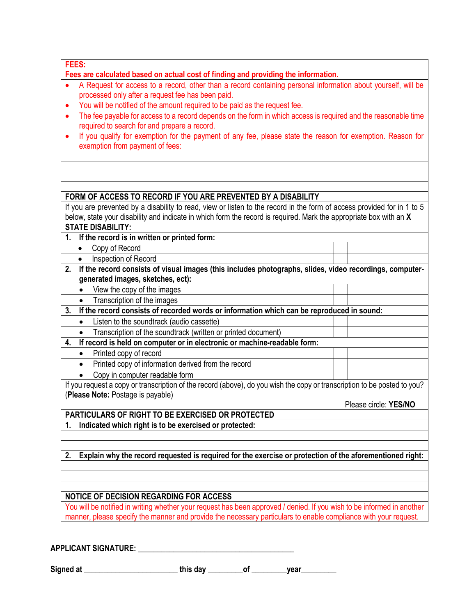| -- |  |        |  |
|----|--|--------|--|
|    |  |        |  |
|    |  | ×      |  |
|    |  |        |  |
|    |  | $\sim$ |  |

**Fees are calculated based on actual cost of finding and providing the information.**

- A Request for access to a record, other than a record containing personal information about yourself, will be processed only after a request fee has been paid.
- You will be notified of the amount required to be paid as the request fee.
- The fee payable for access to a record depends on the form in which access is required and the reasonable time required to search for and prepare a record.
- If you qualify for exemption for the payment of any fee, please state the reason for exemption. Reason for exemption from payment of fees:

#### **FORM OF ACCESS TO RECORD IF YOU ARE PREVENTED BY A DISABILITY**

| If you are prevented by a disability to read, view or listen to the record in the form of access provided for in 1 to 5 |
|-------------------------------------------------------------------------------------------------------------------------|
| below, state your disability and indicate in which form the record is required. Mark the appropriate box with an X      |
| <b>STATE DISABILITY:</b>                                                                                                |

- **1. If the record is in written or printed form:** 
	- Copy of Record
	- Inspection of Record
- **2. If the record consists of visual images (this includes photographs, slides, video recordings, computergenerated images, sketches, ect):**
	- View the copy of the images
	- Transcription of the images
- **3. If the record consists of recorded words or information which can be reproduced in sound:**
	- Listen to the soundtrack (audio cassette)
	- Transcription of the soundtrack (written or printed document)
- **4. If record is held on computer or in electronic or machine-readable form:**
- Printed copy of record
- Printed copy of information derived from the record
- Copy in computer readable form

If you request a copy or transcription of the record (above), do you wish the copy or transcription to be posted to you? (**Please Note:** Postage is payable)

Please circle: **YES/NO**

**PARTICULARS OF RIGHT TO BE EXERCISED OR PROTECTED** 

**1. Indicated which right is to be exercised or protected:**

**2. Explain why the record requested is required for the exercise or protection of the aforementioned right:** 

#### **NOTICE OF DECISION REGARDING FOR ACCESS**

You will be notified in writing whether your request has been approved / denied. If you wish to be informed in another manner, please specify the manner and provide the necessary particulars to enable compliance with your request.

**APPLICANT SIGNATURE: \_\_\_\_\_\_\_\_\_\_\_\_\_\_\_\_\_\_\_\_\_\_\_\_\_\_\_\_\_\_\_\_\_\_\_\_\_\_\_\_**

| Signed at |  |
|-----------|--|
|-----------|--|

 $\mathsf{this}\ \mathsf{day} \qquad \qquad \mathsf{of} \qquad \qquad \mathsf{year}$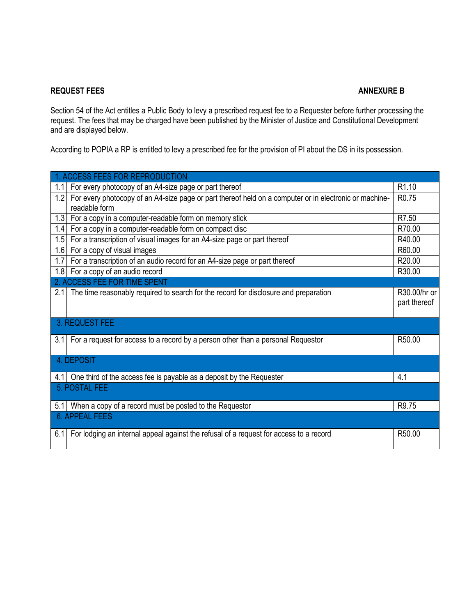#### **REQUEST FEES ANNEXURE B**

Section 54 of the Act entitles a Public Body to levy a prescribed request fee to a Requester before further processing the request. The fees that may be charged have been published by the Minister of Justice and Constitutional Development and are displayed below.

According to POPIA a RP is entitled to levy a prescribed fee for the provision of PI about the DS in its possession.

|     | 1. ACCESS FEES FOR REPRODUCTION                                                                        |                   |
|-----|--------------------------------------------------------------------------------------------------------|-------------------|
| 1.1 | For every photocopy of an A4-size page or part thereof                                                 | R <sub>1.10</sub> |
| 1.2 | For every photocopy of an A4-size page or part thereof held on a computer or in electronic or machine- | R <sub>0.75</sub> |
|     | readable form                                                                                          |                   |
|     | 1.3 For a copy in a computer-readable form on memory stick                                             | R7.50             |
| 1.4 | For a copy in a computer-readable form on compact disc                                                 | R70.00            |
| 1.5 | For a transcription of visual images for an A4-size page or part thereof                               | R40.00            |
| 1.6 | For a copy of visual images                                                                            | R60.00            |
| 1.7 | For a transcription of an audio record for an A4-size page or part thereof                             | R20.00            |
|     | 1.8 For a copy of an audio record                                                                      | R30.00            |
|     | 2. ACCESS FEE FOR TIME SPENT                                                                           |                   |
| 2.1 | The time reasonably required to search for the record for disclosure and preparation                   | R30.00/hr or      |
|     |                                                                                                        | part thereof      |
|     |                                                                                                        |                   |
|     | 3. REQUEST FEE                                                                                         |                   |
| 3.1 | For a request for access to a record by a person other than a personal Requestor                       | R50.00            |
|     |                                                                                                        |                   |
|     | 4. DEPOSIT                                                                                             |                   |
| 4.1 | One third of the access fee is payable as a deposit by the Requester                                   | 4.1               |
|     | 5. POSTAL FEE                                                                                          |                   |
| 5.1 | When a copy of a record must be posted to the Requestor                                                | R9.75             |
|     | <b>6. APPEAL FEES</b>                                                                                  |                   |
| 6.1 | For lodging an internal appeal against the refusal of a request for access to a record                 | R50.00            |
|     |                                                                                                        |                   |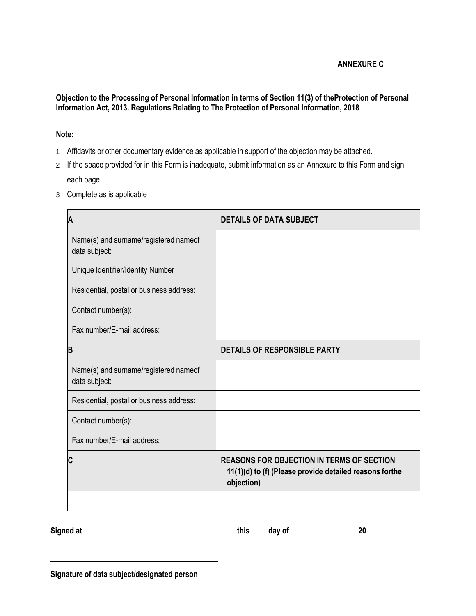#### **ANNEXURE C**

#### **Objection to the Processing of Personal Information in terms of Section 11(3) of theProtection of Personal Information Act, 2013. Regulations Relating to The Protection of Personal Information, 2018**

#### **Note:**

- 1 Affidavits or other documentary evidence as applicable in support of the objection may be attached.
- 2 If the space provided for in this Form is inadequate, submit information as an Annexure to this Form and sign each page.
- 3 Complete as is applicable

| Α                                                      | <b>DETAILS OF DATA SUBJECT</b>                                                                                            |
|--------------------------------------------------------|---------------------------------------------------------------------------------------------------------------------------|
| Name(s) and surname/registered nameof<br>data subject: |                                                                                                                           |
| Unique Identifier/Identity Number                      |                                                                                                                           |
| Residential, postal or business address:               |                                                                                                                           |
| Contact number(s):                                     |                                                                                                                           |
| Fax number/E-mail address:                             |                                                                                                                           |
| B                                                      | <b>DETAILS OF RESPONSIBLE PARTY</b>                                                                                       |
| Name(s) and surname/registered nameof<br>data subject: |                                                                                                                           |
| Residential, postal or business address:               |                                                                                                                           |
| Contact number(s):                                     |                                                                                                                           |
| Fax number/E-mail address:                             |                                                                                                                           |
| C                                                      | <b>REASONS FOR OBJECTION IN TERMS OF SECTION</b><br>11(1)(d) to (f) (Please provide detailed reasons forthe<br>objection) |
|                                                        |                                                                                                                           |

| Signed at<br>this | day of | n,<br>∽~ |
|-------------------|--------|----------|
|-------------------|--------|----------|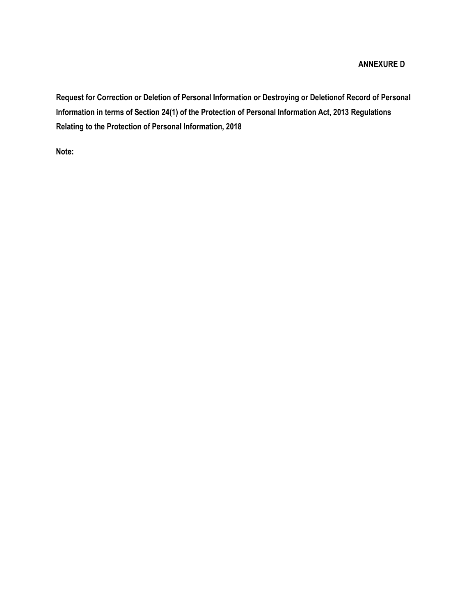#### **ANNEXURE D**

**Request for Correction or Deletion of Personal Information or Destroying or Deletionof Record of Personal Information in terms of Section 24(1) of the Protection of Personal Information Act, 2013 Regulations Relating to the Protection of Personal Information, 2018**

**Note:**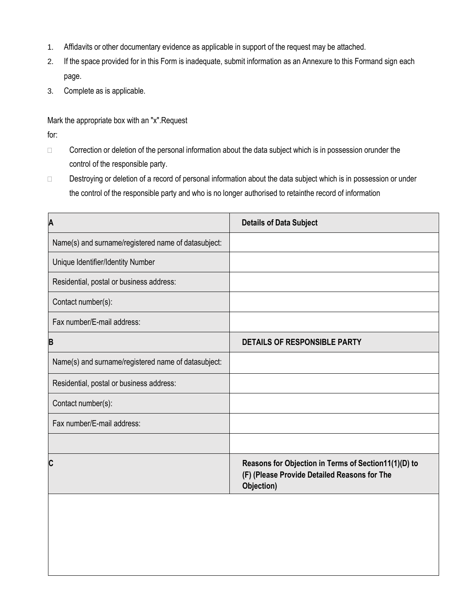- 1. Affidavits or other documentary evidence as applicable in support of the request may be attached.
- 2. If the space provided for in this Form is inadequate, submit information as an Annexure to this Formand sign each page.
- 3. Complete as is applicable.

Mark the appropriate box with an "x".Request

for:

- □ Correction or deletion of the personal information about the data subject which is in possession orunder the control of the responsible party.
- □ Destroying or deletion of a record of personal information about the data subject which is in possession or under the control of the responsible party and who is no longer authorised to retainthe record of information

| <b>Details of Data Subject</b>                                                                                     |
|--------------------------------------------------------------------------------------------------------------------|
|                                                                                                                    |
|                                                                                                                    |
|                                                                                                                    |
|                                                                                                                    |
|                                                                                                                    |
| <b>DETAILS OF RESPONSIBLE PARTY</b>                                                                                |
|                                                                                                                    |
|                                                                                                                    |
|                                                                                                                    |
|                                                                                                                    |
|                                                                                                                    |
| Reasons for Objection in Terms of Section11(1)(D) to<br>(F) (Please Provide Detailed Reasons for The<br>Objection) |
|                                                                                                                    |